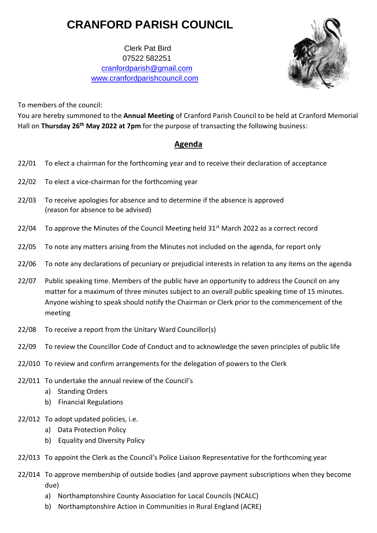# **CRANFORD PARISH COUNCIL**

 Clerk Pat Bird 07522 582251 [cranfordparish@gmail.com](mailto:cranfordparish@gmail.com) [www.cranfordparishcouncil.com](http://www.cranfordparishcouncil.com/)



To members of the council:

You are hereby summoned to the **Annual Meeting** of Cranford Parish Council to be held at Cranford Memorial Hall on **Thursday 26th May 2022 at 7pm** for the purpose of transacting the following business:

## **Agenda**

- 22/01 To elect a chairman for the forthcoming year and to receive their declaration of acceptance
- 22/02 To elect a vice-chairman for the forthcoming year
- 22/03 To receive apologies for absence and to determine if the absence is approved (reason for absence to be advised)
- 22/04 To approve the Minutes of the Council Meeting held  $31<sup>st</sup>$  March 2022 as a correct record
- 22/05 To note any matters arising from the Minutes not included on the agenda, for report only
- 22/06 To note any declarations of pecuniary or prejudicial interests in relation to any items on the agenda
- 22/07 Public speaking time. Members of the public have an opportunity to address the Council on any matter for a maximum of three minutes subject to an overall public speaking time of 15 minutes. Anyone wishing to speak should notify the Chairman or Clerk prior to the commencement of the meeting
- 22/08 To receive a report from the Unitary Ward Councillor(s)
- 22/09 To review the Councillor Code of Conduct and to acknowledge the seven principles of public life
- 22/010 To review and confirm arrangements for the delegation of powers to the Clerk
- 22/011 To undertake the annual review of the Council's
	- a) Standing Orders
	- b) Financial Regulations
- 22/012 To adopt updated policies, i.e.
	- a) Data Protection Policy
	- b) Equality and Diversity Policy
- 22/013 To appoint the Clerk as the Council's Police Liaison Representative for the forthcoming year
- 22/014 To approve membership of outside bodies (and approve payment subscriptions when they become due)
	- a) Northamptonshire County Association for Local Councils (NCALC)
	- b) Northamptonshire Action in Communities in Rural England (ACRE)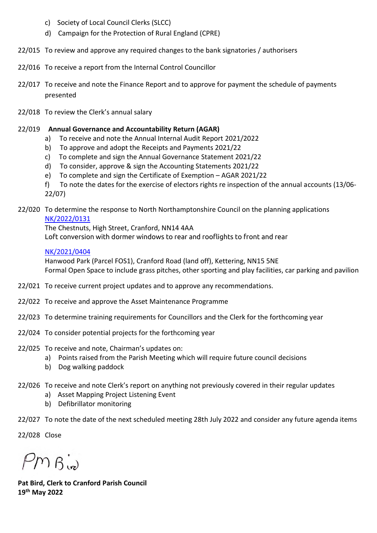- c) Society of Local Council Clerks (SLCC)
- d) Campaign for the Protection of Rural England (CPRE)
- 22/015 To review and approve any required changes to the bank signatories / authorisers
- 22/016 To receive a report from the Internal Control Councillor
- 22/017 To receive and note the Finance Report and to approve for payment the schedule of payments presented
- 22/018 To review the Clerk's annual salary

#### 22/019 **Annual Governance and Accountability Return (AGAR)**

- a) To receive and note the Annual Internal Audit Report 2021/2022
- b) To approve and adopt the Receipts and Payments 2021/22
- c) To complete and sign the Annual Governance Statement 2021/22
- d) To consider, approve & sign the Accounting Statements 2021/22
- e) To complete and sign the Certificate of Exemption AGAR 2021/22
- f) To note the dates for the exercise of electors rights re inspection of the annual accounts (13/06- 22/07)

#### 22/020 To determine the response to North Northamptonshire Council on the planning applications [NK/2022/0131](https://www.kettering.gov.uk/planningApplication/131771)

The Chestnuts, High Street, Cranford, NN14 4AA Loft conversion with dormer windows to rear and rooflights to front and rear

### [NK/2021/0404](https://www.kettering.gov.uk/planningApplication/130829)

Hanwood Park (Parcel FOS1), Cranford Road (land off), Kettering, NN15 5NE Formal Open Space to include grass pitches, other sporting and play facilities, car parking and pavilion

- 22/021 To receive current project updates and to approve any recommendations.
- 22/022 To receive and approve the Asset Maintenance Programme
- 22/023 To determine training requirements for Councillors and the Clerk for the forthcoming year
- 22/024 To consider potential projects for the forthcoming year
- 22/025 To receive and note, Chairman's updates on:
	- a) Points raised from the Parish Meeting which will require future council decisions
	- b) Dog walking paddock
- 22/026 To receive and note Clerk's report on anything not previously covered in their regular updates
	- a) Asset Mapping Project Listening Event
	- b) Defibrillator monitoring
- 22/027 To note the date of the next scheduled meeting 28th July 2022 and consider any future agenda items

22/028 Close

 $PMS_{\text{in}}$ 

**Pat Bird, Clerk to Cranford Parish Council 19th May 2022**